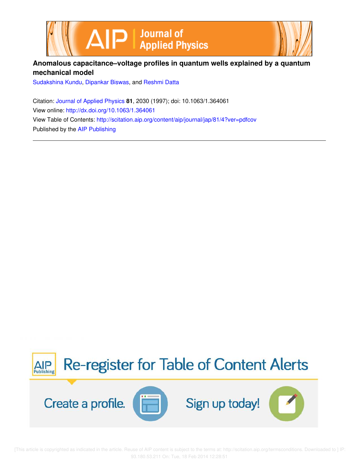



Sudakshina Kundu, Dipankar Biswas, and Reshmi Datta

Citation: Journal of Applied Physics **81**, 2030 (1997); doi: 10.1063/1.364061 View online: http://dx.doi.org/10.1063/1.364061 View Table of Contents: http://scitation.aip.org/content/aip/journal/jap/81/4?ver=pdfcov Published by the AIP Publishing



 [This article is copyrighted as indicated in the article. Reuse of AIP content is subject to the terms at: http://scitation.aip.org/termsconditions. Downloaded to ] IP: 93.180.53.211 On: Tue, 18 Feb 2014 12:28:51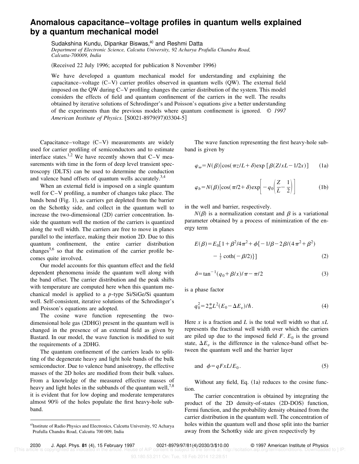## **Anomalous capacitance–voltage profiles in quantum wells explained by a quantum mechanical model**

Sudakshina Kundu, Dipankar Biswas,<sup>a)</sup> and Reshmi Datta *Department of Electronic Science, Calcutta University, 92 Acharya Prafulla Chandra Road, Calcutta-700009, India*

(Received 22 July 1996; accepted for publication 8 November 1996)

We have developed a quantum mechanical model for understanding and explaining the capacitance–voltage  $(C-V)$  carrier profiles observed in quantum wells  $(QW)$ . The external field imposed on the QW during C–V profiling changes the carrier distribution of the system. This model considers the effects of field and quantum confinement of the carriers in the well. The results obtained by iterative solutions of Schrodinger's and Poisson's equations give a better understanding of the experiments than the previous models where quantum confinement is ignored. © *1997 American Institute of Physics.* [S0021-8979(97)03304-5]

Capacitance–voltage  $(C-V)$  measurements are widely used for carrier profiling of semiconductors and to estimate interface states.<sup>1,2</sup> We have recently shown that  $C-V$  measurements with time in the form of deep level transient spectroscopy (DLTS) can be used to determine the conduction and valence band offsets of quantum wells accurately.<sup>3,4</sup>

When an external field is imposed on a single quantum well for C–V profiling, a number of changes take place. The bands bend  $(Fig. 1)$ , as carriers get depleted from the barrier on the Schottky side, and collect in the quantum well to increase the two-dimensional  $(2D)$  carrier concentration. Inside the quantum well the motion of the carriers is quantized along the well width. The carriers are free to move in planes parallel to the interface, making their motion 2D. Due to this quantum confinement, the entire carrier distribution changes<sup>5,6</sup> so that the estimation of the carrier profile becomes quite involved.

Our model accounts for this quantum effect and the field dependent phenomena inside the quantum well along with the band offset. The carrier distribution and the peak shifts with temperature are computed here when this quantum mechanical model is applied to a *p*-type Si/SiGe/Si quantum well. Self-consistent, iterative solutions of the Schrodinger's and Poisson's equations are adopted.

The cosine wave function representing the twodimensional hole gas (2DHG) present in the quantum well is changed in the presence of an external field as given by Bastard. In our model, the wave function is modified to suit the requirements of a 2DHG.

The quantum confinement of the carriers leads to splitting of the degenerate heavy and light hole bands of the bulk semiconductor. Due to valence band anisotropy, the effective masses of the 2D holes are modified from their bulk values. From a knowledge of the measured effective masses of heavy and light holes in the subbands of the quantum well,  $7,8$ it is evident that for low doping and moderate temperatures almost 90% of the holes populate the first heavy-hole subband.

The wave function representing the first heavy-hole subband is given by

$$
\varphi_{\omega} = N(\beta) \left| \cos(\pi z / L + \delta) \exp \left[ \beta (Z / x L - 1 / 2 x) \right] \right| \tag{1a}
$$

$$
\varphi_b = N(\beta) |\cos(\pi/2 + \delta) \exp\left[ -q_0 \left( \frac{Z}{L} - \frac{1}{2} \right) \right]
$$
 (1b)

in the well and barrier, respectively.

 $N(\beta)$  is a normalization constant and  $\beta$  is a variational parameter obtained by a process of minimization of the energy term

$$
E(\beta) = E_0[1 + \beta^2/4\pi^2 + \phi\{-1/\beta - 2\beta/(4\pi^2 + \beta^2) - \frac{1}{2}\coth(-\beta/2)\}]
$$
 (2)

$$
\delta = \tan^{-1}(q_0 + \beta/x)/\pi - \pi/2
$$
 (3)

is a phase factor

$$
q_0^2 = 2_m^* L^2 (E_0 - \Delta E_v) / \hbar. \tag{4}
$$

Here *x* is a fraction and *L* is the total well width so that *xL* represents the fractional well width over which the carriers are piled up due to the imposed field  $F$ .  $E_0$  is the ground state,  $\Delta E_v$  is the difference in the valence-band offset between the quantum well and the barrier layer

and 
$$
\phi = q F x L / E_0
$$
. (5)

Without any field, Eq.  $(1a)$  reduces to the cosine function.

The carrier concentration is obtained by integrating the product of the 2D density-of-states (2D-DOS) function, Fermi function, and the probability density obtained from the carrier distribution in the quantum well. The concentration of holes within the quantum well and those split into the barrier away from the Schottky side are given respectively by

a)Institute of Radio Physics and Electronics, Calcutta University, 92 Acharya Prafulla Chandra Road, Calcutta 700 009, India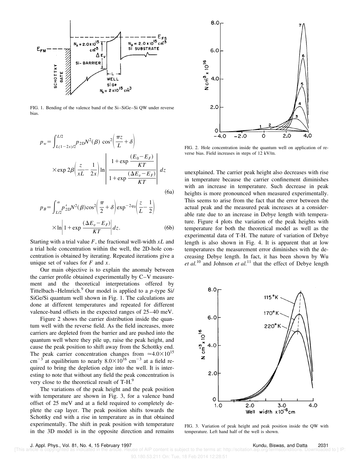

FIG. 1. Bending of the valence band of the Si–SiGe–Si QW under reverse bias.

$$
p_w = \int_{L(1-2x)/2}^{L/2} p_{2D} N^2(\beta) \cos^2 \left( \frac{\pi z}{L} + \delta \right)
$$
  
× exp  $2\beta \left( \frac{z}{xL} - \frac{1}{2x} \right) \ln \left| \frac{1 + \exp \frac{(E_0 - E_F)}{KT}}{1 + \exp \frac{(\Delta E_v - E_F)}{KT}} \right| dz$  (6a)

$$
p_B = \int_{L/2}^{\alpha} p'_{2D} N^2(\beta) \cos^2 \left(\frac{\pi}{2} + \delta\right) \exp^{-2q_0} \left(\frac{z}{L} - \frac{1}{2}\right)
$$

$$
\times \ln \left|1 + \exp \frac{(\Delta E_v - E_F)}{KT}\right| dz. \tag{6b}
$$

Starting with a trial value *F*, the fractional well-width *xL* and a trial hole concentration within the well, the 2D-hole concentration is obtained by iterating. Repeated iterations give a unique set of values for *F* and *x*.

Our main objective is to explain the anomaly between the carrier profile obtained experimentally by C–V measurement and the theoretical interpretations offered by Tittelbach–Helmrich.<sup>9</sup> Our model is applied to a *p*-type Si/ SiGe/Si quantum well shown in Fig. 1. The calculations are done at different temperatures and repeated for different valence-band offsets in the expected ranges of 25–40 meV.

Figure 2 shows the carrier distribution inside the quantum well with the reverse field. As the field increases, more carriers are depleted from the barrier and are pushed into the quantum well where they pile up, raise the peak height, and cause the peak position to shift away from the Schottky end. The peak carrier concentration changes from  $\approx 4.0 \times 10^{15}$ cm<sup>-3</sup> at equilibrium to nearly  $8.0\times10^{16}$  cm<sup>-3</sup> at a field required to bring the depletion edge into the well. It is interesting to note that without any field the peak concentration is very close to the theoretical result of T-H.<sup>9</sup>

The variations of the peak height and the peak position with temperature are shown in Fig. 3, for a valence band offset of 25 meV and at a field required to completely deplete the cap layer. The peak position shifts towards the Schottky end with a rise in temperature as in that obtained experimentally. The shift in peak position with temperature in the 3D model is in the opposite direction and remains



FIG. 2. Hole concentration inside the quantum well on application of reverse bias. Field increases in steps of 12 kV/m.

unexplained. The carrier peak height also decreases with rise in temperature because the carrier confinement diminishes with an increase in temperature. Such decrease in peak heights is more pronounced when measured experimentally. This seems to arise from the fact that the error between the actual peak and the measured peak increases at a considerable rate due to an increase in Debye length with temperature. Figure 4 plots the variation of the peak heights with temperature for both the theoretical model as well as the experimental data of T-H. The nature of variation of Debye length is also shown in Fig. 4. It is apparent that at low temperatures the measurement error diminishes with the decreasing Debye length. In fact, it has been shown by Wu *et al.*<sup>10</sup> and Johnson *et al.*<sup>11</sup> that the effect of Debye length



FIG. 3. Variation of peak height and peak position inside the QW with temperature. Left hand half of the well is shown.